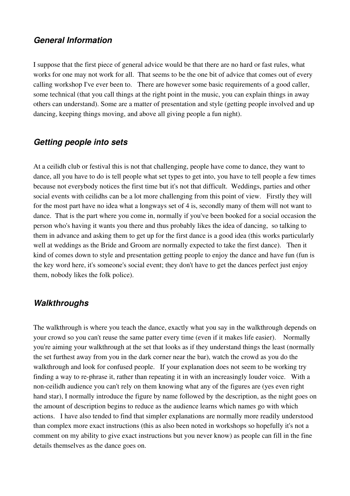### *General Information*

I suppose that the first piece of general advice would be that there are no hard or fast rules, what works for one may not work for all. That seems to be the one bit of advice that comes out of every calling workshop I've ever been to. There are however some basic requirements of a good caller, some technical (that you call things at the right point in the music, you can explain things in away others can understand). Some are a matter of presentation and style (getting people involved and up dancing, keeping things moving, and above all giving people a fun night).

### *Getting people into sets*

At a ceilidh club or festival this is not that challenging, people have come to dance, they want to dance, all you have to do is tell people what set types to get into, you have to tell people a few times because not everybody notices the first time but it's not that difficult. Weddings, parties and other social events with ceilidhs can be a lot more challenging from this point of view. Firstly they will for the most part have no idea what a longways set of 4 is, secondly many of them will not want to dance. That is the part where you come in, normally if you've been booked for a social occasion the person who's having it wants you there and thus probably likes the idea of dancing, so talking to them in advance and asking them to get up for the first dance is a good idea (this works particularly well at weddings as the Bride and Groom are normally expected to take the first dance). Then it kind of comes down to style and presentation getting people to enjoy the dance and have fun (fun is the key word here, it's someone's social event; they don't have to get the dances perfect just enjoy them, nobody likes the folk police).

### *Walkthroughs*

The walkthrough is where you teach the dance, exactly what you say in the walkthrough depends on your crowd so you can't reuse the same patter every time (even if it makes life easier). Normally you're aiming your walkthrough at the set that looks as if they understand things the least (normally the set furthest away from you in the dark corner near the bar), watch the crowd as you do the walkthrough and look for confused people. If your explanation does not seem to be working try finding a way to re-phrase it, rather than repeating it in with an increasingly louder voice. With a non-ceilidh audience you can't rely on them knowing what any of the figures are (yes even right hand star), I normally introduce the figure by name followed by the description, as the night goes on the amount of description begins to reduce as the audience learns which names go with which actions. I have also tended to find that simpler explanations are normally more readily understood than complex more exact instructions (this as also been noted in workshops so hopefully it's not a comment on my ability to give exact instructions but you never know) as people can fill in the fine details themselves as the dance goes on.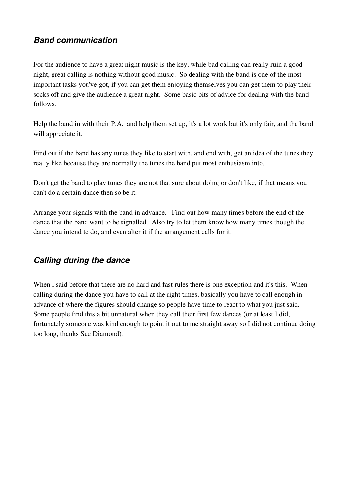## *Band communication*

For the audience to have a great night music is the key, while bad calling can really ruin a good night, great calling is nothing without good music. So dealing with the band is one of the most important tasks you've got, if you can get them enjoying themselves you can get them to play their socks off and give the audience a great night. Some basic bits of advice for dealing with the band follows.

Help the band in with their P.A. and help them set up, it's a lot work but it's only fair, and the band will appreciate it.

Find out if the band has any tunes they like to start with, and end with, get an idea of the tunes they really like because they are normally the tunes the band put most enthusiasm into.

Don't get the band to play tunes they are not that sure about doing or don't like, if that means you can't do a certain dance then so be it.

Arrange your signals with the band in advance. Find out how many times before the end of the dance that the band want to be signalled. Also try to let them know how many times though the dance you intend to do, and even alter it if the arrangement calls for it.

# *Calling during the dance*

When I said before that there are no hard and fast rules there is one exception and it's this. When calling during the dance you have to call at the right times, basically you have to call enough in advance of where the figures should change so people have time to react to what you just said. Some people find this a bit unnatural when they call their first few dances (or at least I did, fortunately someone was kind enough to point it out to me straight away so I did not continue doing too long, thanks Sue Diamond).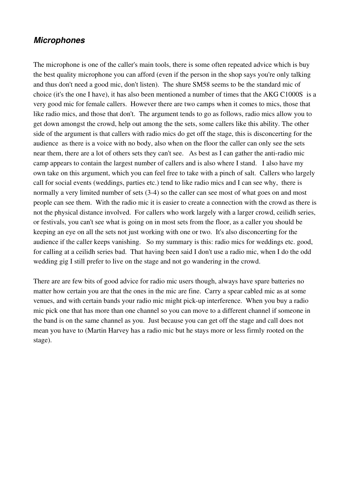### *Microphones*

The microphone is one of the caller's main tools, there is some often repeated advice which is buy the best quality microphone you can afford (even if the person in the shop says you're only talking and thus don't need a good mic, don't listen). The shure SM58 seems to be the standard mic of choice (it's the one I have), it has also been mentioned a number of times that the AKG C1000S is a very good mic for female callers. However there are two camps when it comes to mics, those that like radio mics, and those that don't. The argument tends to go as follows, radio mics allow you to get down amongst the crowd, help out among the the sets, some callers like this ability. The other side of the argument is that callers with radio mics do get off the stage, this is disconcerting for the audience as there is a voice with no body, also when on the floor the caller can only see the sets near them, there are a lot of others sets they can't see. As best as I can gather the anti-radio mic camp appears to contain the largest number of callers and is also where I stand. I also have my own take on this argument, which you can feel free to take with a pinch of salt. Callers who largely call for social events (weddings, parties etc.) tend to like radio mics and I can see why, there is normally a very limited number of sets (3-4) so the caller can see most of what goes on and most people can see them. With the radio mic it is easier to create a connection with the crowd as there is not the physical distance involved. For callers who work largely with a larger crowd, ceilidh series, or festivals, you can't see what is going on in most sets from the floor, as a caller you should be keeping an eye on all the sets not just working with one or two. It's also disconcerting for the audience if the caller keeps vanishing. So my summary is this: radio mics for weddings etc. good, for calling at a ceilidh series bad. That having been said I don't use a radio mic, when I do the odd wedding gig I still prefer to live on the stage and not go wandering in the crowd.

There are are few bits of good advice for radio mic users though, always have spare batteries no matter how certain you are that the ones in the mic are fine. Carry a spear cabled mic as at some venues, and with certain bands your radio mic might pick-up interference. When you buy a radio mic pick one that has more than one channel so you can move to a different channel if someone in the band is on the same channel as you. Just because you can get off the stage and call does not mean you have to (Martin Harvey has a radio mic but he stays more or less firmly rooted on the stage).